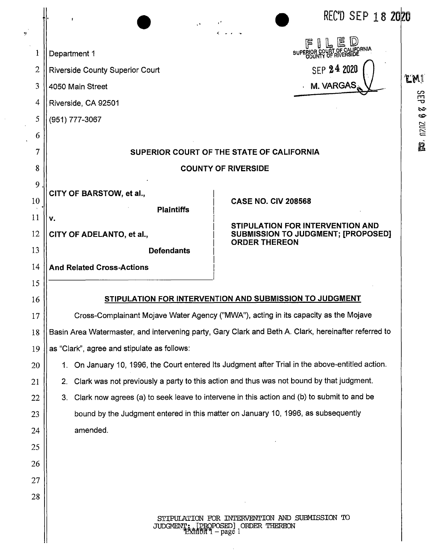|                | уk.                                                                                                          | REC'D SEP 18 2020<br>$\mathbf{r}^{\mathsf{T}}$                                                           |                    |
|----------------|--------------------------------------------------------------------------------------------------------------|----------------------------------------------------------------------------------------------------------|--------------------|
| 9              |                                                                                                              | $\zeta$<br>SUITE D<br>SUPERIOR COURT OF CALIFORNIA                                                       |                    |
| 1              | Department 1                                                                                                 |                                                                                                          |                    |
| $\overline{c}$ | <b>Riverside County Superior Court</b>                                                                       | SEP 24 2020                                                                                              | <b>LM1</b>         |
| 3              | 4050 Main Street                                                                                             | M. VARGAS                                                                                                | <b>SEP</b>         |
| $\overline{4}$ | Riverside, CA 92501                                                                                          |                                                                                                          | Z<br>$\bullet$     |
| 5              | (951) 777-3067                                                                                               |                                                                                                          | <b>DZDZ</b>        |
| 6              |                                                                                                              |                                                                                                          | $\dot{\mathbf{g}}$ |
| $\overline{7}$ | SUPERIOR COURT OF THE STATE OF CALIFORNIA                                                                    |                                                                                                          |                    |
| 8              | <b>COUNTY OF RIVERSIDE</b>                                                                                   |                                                                                                          |                    |
| 9              | CITY OF BARSTOW, et al.,                                                                                     | <b>CASE NO. CIV 208568</b>                                                                               |                    |
| 10             | <b>Plaintiffs</b>                                                                                            |                                                                                                          |                    |
| 11<br>12       | V.                                                                                                           | STIPULATION FOR INTERVENTION AND<br><b>SUBMISSION TO JUDGMENT; [PROPOSED]</b>                            |                    |
| 13             | CITY OF ADELANTO, et al.,<br><b>Defendants</b>                                                               | <b>ORDER THEREON</b>                                                                                     |                    |
| 14             | <b>And Related Cross-Actions</b>                                                                             |                                                                                                          |                    |
| 15             |                                                                                                              |                                                                                                          |                    |
| 16             | STIPULATION FOR INTERVENTION AND SUBMISSION TO JUDGMENT                                                      |                                                                                                          |                    |
| 17             | Cross-Complainant Mojave Water Agency ("MWA"), acting in its capacity as the Mojave                          |                                                                                                          |                    |
| 18             | Basin Area Watermaster, and intervening party, Gary Clark and Beth A. Clark, hereinafter referred to         |                                                                                                          |                    |
| 19             | as "Clark", agree and stipulate as follows:                                                                  |                                                                                                          |                    |
| 20             | On January 10, 1996, the Court entered Its Judgment after Trial in the above-entitled action.<br>1.          |                                                                                                          |                    |
| 21             | Clark was not previously a party to this action and thus was not bound by that judgment.<br>$2_{\cdot}$      |                                                                                                          |                    |
| 22             | Clark now agrees (a) to seek leave to intervene in this action and (b) to submit to and be<br>3 <sub>1</sub> |                                                                                                          |                    |
| 23             | bound by the Judgment entered in this matter on January 10, 1996, as subsequently                            |                                                                                                          |                    |
| 24             | amended.                                                                                                     |                                                                                                          |                    |
| 25             |                                                                                                              |                                                                                                          |                    |
| 26             |                                                                                                              |                                                                                                          |                    |
| 27             |                                                                                                              |                                                                                                          |                    |
| 28             |                                                                                                              |                                                                                                          |                    |
|                |                                                                                                              | STIPULATION FOR INTERVENTION AND SUBMISSION TO<br>JUDGMENT: [PROPOSED] ORDER THEREON<br>EXHIBIT - page 1 |                    |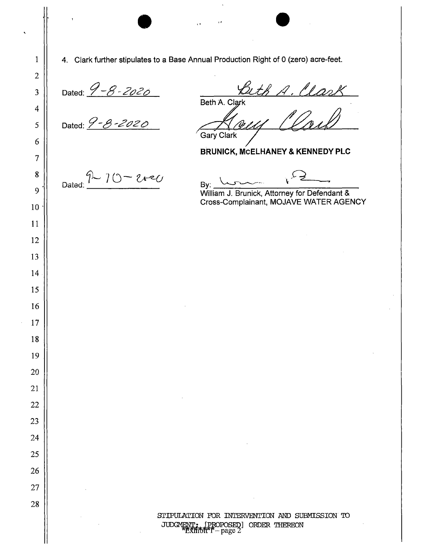$\bullet$   $\bullet$   $\bullet$   $\bullet$   $\bullet$ 1 | 4. Clark further stipulates to a Base Annual Production Right of 0 (zero) acre-feet. Dated: *9 - 8 - 2020* A. llart Beth A. Clark 5 Dated: 9 - 8 - 2020 Gary Clark **BRUNICK, McELHANEY & KENNEDY PLC**   $B_{\nu}$   $\mu$  Dated:  $^{9-}$  70 - 2020 William J. Brunick, Attorney for Defendant & Cross-Complainant, MOJAVE WATER AGENCY 10• STIPULATION FOR INTERVENTION AND SUBMISSION TO JUDGMENT: [PROPOSED] ORDER THEREON **7:** THEREON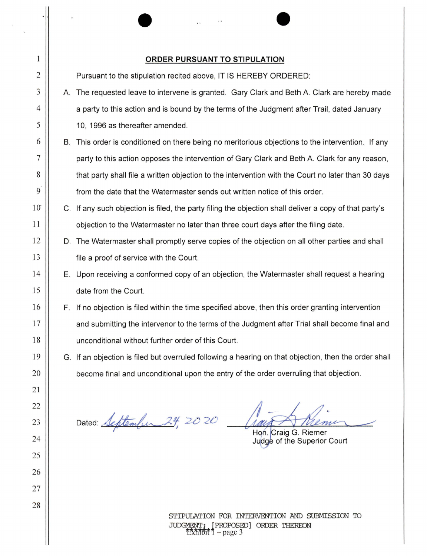## **ORDER PURSUANT TO STIPULATION**

 $\bullet$   $\bullet$   $\bullet$ 

 $2 \parallel$  Pursuant to the stipulation recited above, IT IS HEREBY ORDERED:

- $3 \parallel$  A. The requested leave to intervene is granted. Gary Clark and Beth A. Clark are hereby made  $4 \parallel$  a party to this action and is bound by the terms of the Judgment after Trail, dated January  $\begin{bmatrix} 5 \end{bmatrix}$  10, 1996 as thereafter amended.
- $6 \parallel$  B. This order is conditioned on there being no meritorious objections to the intervention. If any  $7$  | party to this action opposes the intervention of Gary Clark and Beth A. Clark for any reason, 8 | that party shall file a written objection to the intervention with the Court no later than 30 days  $9$   $\parallel$  from the date that the Watermaster sends out written notice of this order.
- $10$   $\parallel$  C. If any such objection is filed, the party filing the objection shall deliver a copy of that party's 11 | objection to the Watermaster no later than three court days after the filing date.
- 12 | D. The Watermaster shall promptly serve copies of the objection on all other parties and shall 13 **file a proof of service with the Court.**
- $14$   $\parallel$  E. Upon receiving a conformed copy of an objection, the Watermaster shall request a hearing 15 **date from the Court.**
- 16 F. If no objection is filed within the time specified above, then this order granting intervention 17 | and submitting the intervenor to the terms of the Judgment after Trial shall become final and 18 unconditional without further order of this Court.
- 19 | G. If an objection is filed but overruled following a hearing on that objection, then the order shall 20 | become final and unconditional upon the entry of the order overruling that objection.

Dated: September 24, 2020

Hon. Craig G. Riemer Judge of the Superior Court

STIPUlATION FOR INTERVENTION AND SUBMISSION 'ID JUDGMENT: [PROPOSED] ORDER THEREON<br>"EXAMBIT"I - page 3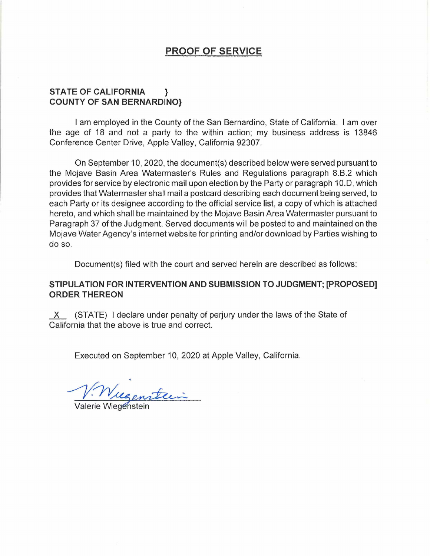# **PROOF OF SERVICE**

# **STATE OF CALIFORNIA** } **COUNTY OF SAN BERNARDINO}**

I am employed in the County of the San Bernardino, State of California. I am over the age of 18 and not a party to the within action; my business address is 13846 Conference Center Drive, Apple Valley, California 92307.

On September 10, 2020, the document(s) described below were served pursuant to the Mojave Basin Area Watermaster's Rules and Regulations paragraph 8.B.2 which provides for service by electronic mail upon election by the Party or paragraph 10.D, which provides that Watermaster shall mail a postcard describing each document being served, to each Party or its designee according to the official service list, a copy of which is attached hereto, and which shall be maintained by the Mojave Basin Area Watermaster pursuant to Paragraph 37 of the Judgment. Served documents will be posted to and maintained on the Mojave Water Agency's internet website for printing and/or download by Parties wishing to do so.

Document(s) filed with the court and served herein are described as follows:

# **STIPULATION FOR INTERVENTION AND SUBMISSION TO JUDGMENT; [PROPOSED] ORDER THEREON**

X (STATE) I declare under penalty of perjury under the laws of the State of California that the above is true and correct.

Executed on September 10, 2020 at Apple Valley, California .

. V. Wugenstein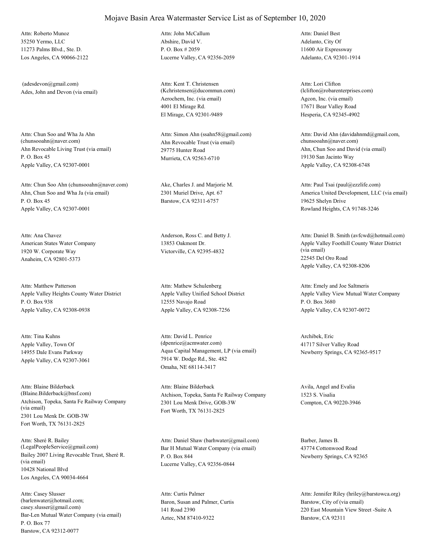35250 Yermo, LLC 11273 Palms Blvd., Ste. D. Los Angeles, CA 90066-2122 Attn: Roberto Munoz

Ades, John and Devon (via email) (adesdevon@gmail.com)

Ahn Revocable Living Trust (via email) P. O. Box 45 Apple Valley, CA 92307-0001 Attn: Chun Soo and Wha Ja Ahn<br>(chunsooahn@naver.com)

Ahn, Chun Soo and Wha Ja (via email) P. O. Box 45 Apple Valley, CA 92307-0001 Attn: Chun Soo Ahn (chunsooahn@naver.com) Ake, Charles J. and Marjorie M.

American States Water Company 1920 W. Corporate Way Anaheim, CA 92801-5373 Attn: Ana Chavez **Anderson, Ross C.** and Betty J.

Apple Valley Heights County Water District P. O. Box 938 Apple Valley, CA 92308-0938 Attn: Matthew Patterson

Apple Valley, Town Of 14955 Dale Evans Parkway Apple Valley, CA 92307-3061 Attn: Tina Kuhns

Atchison, Topeka, Santa Fe Railway Company (via email) 2301 Lou Menk Dr. GOB-3W Fort Worth, TX 76131-2825 Attn: Blaine Bilderback

Bailey 2007 Living Revocable Trust, Sheré R. (via email) 10428 National Blvd Los Angeles, CA 90034-4664 Attn: Sheré R. Bailey<br>(LegalPeopleService@gmail.com)

Bar-Len Mutual Water Company (via email) P. O. Box 77 Barstow, CA 92312-0077 Attn: Casey Slusser (barlenwater@hotmail.com; casey.slusser@gmail.com)

Abshire, David V. P. O. Box # 2059 Lucerne Valley, CA 92356-2059 Attn: John McCallum

Aerochem, Inc. (via email) 4001 El Mirage Rd. El Mirage, CA 92301-9489 Attn: Kent T. Christensen (Kchristensen@ducommun.com)

Ahn Revocable Trust (via email) 29775 Hunter Road Murrieta, CA 92563-6710 Attn: Simon Ahn (ssahn58@gmail.com)

2301 Muriel Drive, Apt. 67 Barstow, CA 92311-6757

13853 Oakmont Dr. Victorville, CA 92395-4832

Apple Valley Unified School District 12555 Navajo Road Apple Valley, CA 92308-7256 Attn: Mathew Schulenberg

Aqua Capital Management, LP (via email) 7914 W. Dodge Rd., Ste. 482 Omaha, NE 68114-3417 Attn: David L. Penrice (dpenrice@acmwater.com)

(Blaine.Bilderback@bnsf.com) Atchison, Topeka, Santa Fe Railway Company 2301 Lou Menk Drive, GOB-3W Fort Worth, TX 76131-2825 Attn: Blaine Bilderback Avila, Angel and Evalia

> Bar H Mutual Water Company (via email) P. O. Box 844 Lucerne Valley, CA 92356-0844 Attn: Daniel Shaw (barhwater@gmail.com) Barber, James B.

Baron, Susan and Palmer, Curtis 141 Road 2390 Aztec, NM 87410-9322 Attn: Curtis Palmer

Adelanto, City Of 11600 Air Expressway Adelanto, CA 92301-1914 Attn: Daniel Best

Agcon, Inc. (via email) 17671 Bear Valley Road Hesperia, CA 92345-4902 Attn: Lori Clifton (lclifton@robarenterprises.com)

Ahn, Chun Soo and David (via email) 19130 San Jacinto Way Apple Valley, CA 92308-6748 Attn: David Ahn (davidahnmd@gmail.com, chunsooahn@naver.com)

America United Development, LLC (via email) 19625 Shelyn Drive Rowland Heights, CA 91748-3246 Attn: Paul Tsai (paul@ezzlife.com)

Apple Valley Foothill County Water District (via email) 22545 Del Oro Road Apple Valley, CA 92308-8206 Attn: Daniel B. Smith (avfcwd@hotmail.com)

Apple Valley View Mutual Water Company P. O. Box 3680 Apple Valley, CA 92307-0072 Attn: Emely and Joe Saltmeris

Archibek, Eric 41717 Silver Valley Road Newberry Springs, CA 92365-9517

1523 S. Visalia Compton, CA 90220-3946

43774 Cottonwood Road Newberry Springs, CA 92365

Barstow, City of (via email) 220 East Mountain View Street -Suite A Barstow, CA 92311 Attn: Jennifer Riley (hriley@barstowca.org)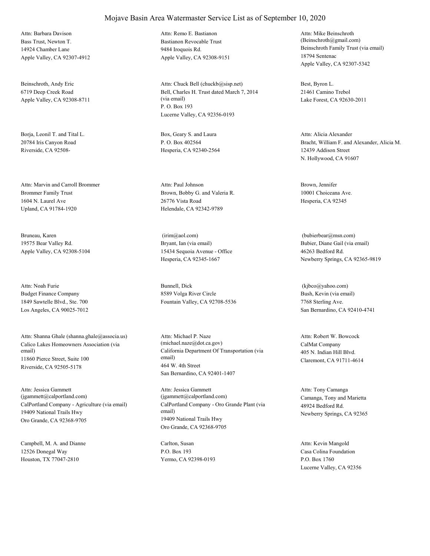Bass Trust, Newton T. 14924 Chamber Lane Apple Valley, CA 92307-4912 Attn: Barbara Davison

Beinschroth, Andy Eric 6719 Deep Creek Road Apple Valley, CA 92308-8711

Borja, Leonil T. and Tital L. 20784 Iris Canyon Road Riverside, CA 92508-

Brommer Family Trust 1604 N. Laurel Ave Upland, CA 91784-1920 Attn: Marvin and Carroll Brommer

Bruneau, Karen 19575 Bear Valley Rd. Apple Valley, CA 92308-5104

Budget Finance Company 1849 Sawtelle Blvd., Ste. 700 Los Angeles, CA 90025-7012 Attn: Noah Furie Bunnell, Dick

Calico Lakes Homeowners Association (via email) 11860 Pierce Street, Suite 100 Riverside, CA 92505-5178 Attn: Shanna Ghale (shanna.ghale@associa.us)

CalPortland Company - Agriculture (via email) 19409 National Trails Hwy Oro Grande, CA 92368-9705 Attn: Jessica Gammett (jgammett@calportland.com)

Campbell, M. A. and Dianne 12526 Donegal Way Houston, TX 77047-2810

Bastianon Revocable Trust 9484 Iroquois Rd. Apple Valley, CA 92308-9151 Attn: Remo E. Bastianon

Bell, Charles H. Trust dated March 7, 2014 (via email) P. O. Box 193 Lucerne Valley, CA 92356-0193 Attn: Chuck Bell (chuckb@sisp.net) Best, Byron L.

Box, Geary S. and Laura P. O. Box 402564 Hesperia, CA 92340-2564

Brown, Bobby G. and Valeria R. 26776 Vista Road Helendale, CA 92342-9789 Attn: Paul Johnson Brown, Jennifer

Bryant, Ian (via email) 15434 Sequoia Avenue - Office Hesperia, CA 92345-1667 (irim@aol.com)

8589 Volga River Circle Fountain Valley, CA 92708-5536

California Department Of Transportation (via email) 464 W. 4th Street San Bernardino, CA 92401-1407 Attn: Michael P. Naze (michael.naze@dot.ca.gov) CalMat Company

CalPortland Company - Oro Grande Plant (via email) 19409 National Trails Hwy Oro Grande, CA 92368-9705 Attn: Jessica Gammett (jgammett@calportland.com) Camanga, Tony and Marietta

Carlton, Susan P.O. Box 193 Yermo, CA 92398-0193

Beinschroth Family Trust (via email) 18794 Sentenac Apple Valley, CA 92307-5342 Attn: Mike Beinschroth (Beinschroth@gmail.com)

21461 Camino Trebol Lake Forest, CA 92630-2011

Bracht, William F. and Alexander, Alicia M. 12439 Addison Street N. Hollywood, CA 91607 Attn: Alicia Alexander

10001 Choiceana Ave. Hesperia, CA 92345

Bubier, Diane Gail (via email) 46263 Bedford Rd. Newberry Springs, CA 92365-9819 (bubierbear@msn.com)

Bush, Kevin (via email) 7768 Sterling Ave. San Bernardino, CA 92410-4741 (kjbco@yahoo.com)

405 N. Indian Hill Blvd. Claremont, CA 91711-4614 Attn: Robert W. Bowcock

48924 Bedford Rd. Newberry Springs, CA 92365 Attn: Tony Camanga

Casa Colina Foundation P.O. Box 1760 Lucerne Valley, CA 92356 Attn: Kevin Mangold

## Mojave Basin Area Watermaster Service List as of September 10, 2020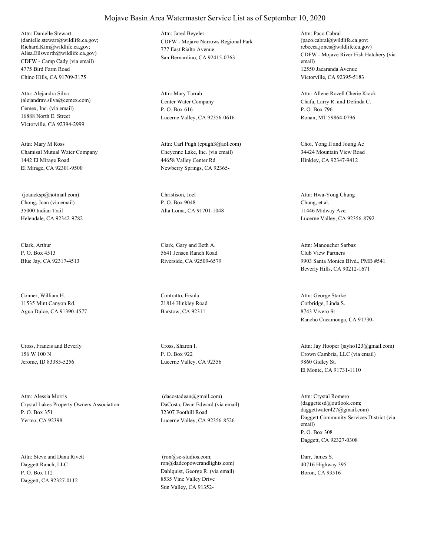CDFW - Camp Cady (via email) 4775 Bird Farm Road Chino Hills, CA 91709-3175 Attn: Danielle Stewart (danielle.stewart@wildlife.ca.gov; Richard.Kim@wildlife.ca.gov; Alisa.Ellsworth@wildlife.ca.gov)

Cemex, Inc. (via email) 16888 North E. Street Victorville, CA 92394-2999 Attn: Alejandra Silva (alejandrav.silva@cemex.com) Center Water Company

Chamisal Mutual Water Company 1442 El Mirage Road El Mirage, CA 92301-9500 Attn: Mary M Ross

Chong, Joan (via email) 35000 Indian Trail Helendale, CA 92342-9782 (joancksp@hotmail.com) Christison, Joel

Clark, Arthur P. O. Box 4513 Blue Jay, CA 92317-4513

Conner, William H. 11535 Mint Canyon Rd. Agua Dulce, CA 91390-4577

Cross, Francis and Beverly 156 W 100 N Jerome, ID 83385-5256

Crystal Lakes Property Owners Association P. O. Box 351 Yermo, CA 92398 Attn: Alessia Morris

Daggett Ranch, LLC P. O. Box 112 Daggett, CA 92327-0112 Attn: Steve and Dana Rivett CDFW - Mojave Narrows Regional Park 777 East Rialto Avenue San Bernardino, CA 92415-0763 Attn: Jared Beyeler

P. O. Box 616 Lucerne Valley, CA 92356-0616 Attn: Mary Tarrab

Cheyenne Lake, Inc. (via email) 44658 Valley Center Rd Newberry Springs, CA 92365- Attn: Carl Pugh (cpugh3@aol.com) Choi, Yong Il and Joung Ae

P. O. Box 9048 Alta Loma, CA 91701-1048

Clark, Gary and Beth A. 5641 Jensen Ranch Road Riverside, CA 92509-6579

Contratto, Ersula 21814 Hinkley Road Barstow, CA 92311

Cross, Sharon I. P. O. Box 922 Lucerne Valley, CA 92356

DaCosta, Dean Edward (via email) 32307 Foothill Road Lucerne Valley, CA 92356-8526 (dacostadean@gmail.com)

Dahlquist, George R. (via email) 8535 Vine Valley Drive Sun Valley, CA 91352- (ron@sc-studios.com; ron@dadcopowerandlights.com) CDFW - Mojave River Fish Hatchery (via email) 12550 Jacaranda Avenue Victorville, CA 92395-5183 Attn: Paco Cabral (paco.cabral@wildlife.ca.gov; rebecca.jones@wildlife.ca.gov)

Chafa, Larry R. and Delinda C. P. O. Box 796 Ronan, MT 59864-0796 Attn: Allene Rozell Cherie Krack

34424 Mountain View Road Hinkley, CA 92347-9412

Chung, et al. 11446 Midway Ave. Lucerne Valley, CA 92356-8792 Attn: Hwa-Yong Chung

Club View Partners 9903 Santa Monica Blvd., PMB #541 Beverly Hills, CA 90212-1671 Attn: Manoucher Sarbaz

Corbridge, Linda S. 8743 Vivero St Rancho Cucamonga, CA 91730- Attn: George Starke

Crown Cambria, LLC (via email) 9860 Gidley St. El Monte, CA 91731-1110 Attn: Jay Hooper (jayho123@gmail.com)

Daggett Community Services District (via email) P. O. Box 308 Daggett, CA 92327-0308 Attn: Crystal Romero (daggettcsd@outlook.com; daggettwater427@gmail.com)

Darr, James S. 40716 Highway 395 Boron, CA 93516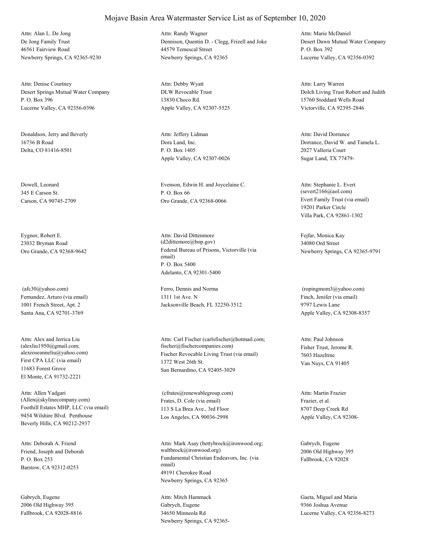De Jong Family Trust 46561 Fairview Road Newberry Springs, CA 92365-9230 Attn: Alan L. De Jong

Desert Springs Mutual Water Company P. O. Box 396 Lucerne Valley, CA 92356-0396 Attn: Denise Courtney

Donaldson, Jerry and Beverly 16736 B Road Delta, CO 81416-8501

Dowell, Leonard 345 E Carson St. Carson, CA 90745-2709

Eygnor, Robert E. 23032 Bryman Road

Fernandez, Arturo (via email) 1001 French Street, Apt. 2 Santa Ana, CA 92701-3769 (afc30@yahoo.com) Ferro, Dennis and Norma

First CPA LLC (via email) 11683 Forest Grove El Monte, CA 91732-2221 Attn: Alex and Jerrica Liu (alexliu1950@gmail.com;

Foothill Estates MHP, LLC (via email) 9454 Wilshire Blvd. Penthouse Beverly Hills, CA 90212-2937 Attn: Allen Yadgari (Allen@skylinecompany.com) Frates, D. Cole (via email)

Friend, Joseph and Deborah P. O. Box 253 Barstow, CA 92312-0253 Attn: Deborah A. Friend

Gabrych, Eugene 2006 Old Highway 395 Fallbrook, CA 92028-8816 Dennison, Quentin D. - Clegg, Frizell and Joke 44579 Temescal Street Newberry Springs, CA 92365 Attn: Randy Wagner

DLW Revocable Trust 13830 Choco Rd. Apple Valley, CA 92307-5525 Attn: Debby Wyatt

Dora Land, Inc. P. O. Box 1405 Apple Valley, CA 92307-0026 Attn: Jeffery Lidman

Evenson, Edwin H. and Joycelaine C. P. O. Box 66 Oro Grande, CA 92368-0066 Evert Family Trust (via email)

Oro Grande, CA 92368-9642 Federal Bureau of Prisons, Victorville (via email) P. O. Box 5400 Adelanto, CA 92301-5400 Attn: David Dittenmore (d2dittemore@bop.gov)

> 1311 1st Ave. N Jacksonville Beach, FL 32250-3512

alexroseanneliu@yahoo.com) Fischer Revocable Living Trust (via email) 1372 West 26th St. San Bernardino, CA 92405-3029 Attn: Carl Fischer (carlsfischer@hotmail.com; fischer@fischercompanies.com) Fisher Trust, Jerome R.

> 113 S La Brea Ave., 3rd Floor Los Angeles, CA 90036-2998 (cfrates@renewablegroup.com)

Fundamental Christian Endeavors, Inc. (via email) 49191 Cherokee Road Newberry Springs, CA 92365 Attn: Mark Asay (bettybrock@ironwood.org; waltbrock@ironwood.org)

Gabrych, Eugene 34650 Minneola Rd Newberry Springs, CA 92365Desert Dawn Mutual Water Company P. O. Box 392 Lucerne Valley, CA 92356-0392 Attn: Marie McDaniel

Dolch Living Trust Robert and Judith 15760 Stoddard Wells Road Victorville, CA 92395-2846 Attn: Larry Warren

Dorrance, David W. and Tamela L. 2027 Valleria Court Sugar Land, TX 77479- Attn: David Dorrance

19201 Parker Circle Villa Park, CA 92861-1302 Attn: Stephanie L. Evert (severt2166@aol.com)

Fejfar, Monica Kay 34080 Ord Street Newberry Springs, CA 92365-9791

Finch, Jenifer (via email) 9797 Lewis Lane Apple Valley, CA 92308-8357 (ropingmom3@yahoo.com)

7603 Hazeltine Van Nuys, CA 91405 Attn: Paul Johnson

Frazier, et al. 8707 Deep Creek Rd Apple Valley, CA 92308- Attn: Martin Frazier

Gabrych, Eugene 2006 Old Highway 395 Fallbrook, CA 92028

Attn: Mitch Hammack Gaeta, Miguel and Maria 9366 Joshua Avenue Lucerne Valley, CA 92356-8273

#### Mojave Basin Area Watermaster Service List as of September 10, 2020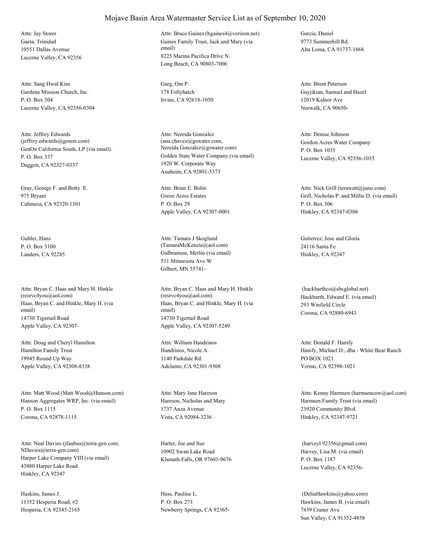Gaeta, Trinidad 10551 Dallas Avenue Lucerne Valley, CA 92356 Attn: Jay Storer

Gardena Mission Church, Inc. P. O. Box 304 Lucerne Valley, CA 92356-0304 Attn: Sang Hwal Kim Garg, Om P.

GenOn California South, LP (via email) P. O. Box 337 Daggett, CA 92327-0337 Attn: Jeffrey Edwards (jeffrey.edwards@genon.com)

Gray, George F. and Betty E. 975 Bryant Calimesa, CA 92320-1301

Gubler, Hans P. O. Box 3100

Haas, Bryan C. and Hinkle, Mary H. (via email) 14730 Tigertail Road Apple Valley, CA 92307- Attn: Bryan C. Haas and Mary H. Hinkle (resrvc4you@aol.com)

Hamilton Family Trust 19945 Round Up Way Apple Valley, CA 92308-8338 Attn: Doug and Cheryl Hamilton

Hanson Aggregates WRP, Inc. (via email) P. O. Box 1115 Corona, CA 92878-1115 Attn: Matt Wood (Matt.Wood@Hanson.com)

Harper Lake Company VIII (via email) 43880 Harper Lake Road Hinkley, CA 92347 Attn: Neal Davies (jfaubus@terra-gen.com; NDavies@terra-gen.com)

Haskins, James J. 11352 Hesperia Road, #2 Hesperia, CA 92345-2165 Gaines Family Trust, Jack and Mary (via email) 8225 Marina Pacifica Drive N. Long Beach, CA 90803-7006 Attn: Bruce Gaines (bgaines4@verizon.net) Garcia, Daniel

178 Follyhatch Irvine, CA 92618-1050

Golden State Water Company (via email) 1920 W. Corporate Way Anaheim, CA 92801-5373 Attn: Nereida Gonzalez (ana.chavez@gswater.com, Nereida.Gonzalez@gswater.com)

Green Acres Estates P. O. Box 29 Apple Valley, CA 92307-0001 Attn: Brian E. Bolin

Landers, CA 92285 Gulbranson, Merlin (via email) 511 Minnesota Ave W Gilbert, MN 55741- Attn: Tamara J Skoglund (TamaraMcKenzie@aol.com)

> Haas, Bryan C. and Hinkle, Mary H. (via email) 14730 Tigertail Road Apple Valley, CA 92307-5249 Attn: Bryan C. Haas and Mary H. Hinkle (resrvc4you@aol.com) Hackbarth, Edward E. (via email)

Handrinos, Nicole A. 1140 Parkdale Rd. Adelanto, CA 92301-9308 Attn: William Handrinos

Hareson, Nicholas and Mary 1737 Anza Avenue Vista, CA 92084-3236 Attn: Mary Jane Hareson

Harter, Joe and Sue 10902 Swan Lake Road Klamath Falls, OR 97603-9676

Hass, Pauline L. P. O. Box 273 Newberry Springs, CA 923659773 Summerhill Rd. Alta Loma, CA 91737-1668

Gayjikian, Samuel and Hazel 12019 Kalnor Ave Norwalk, CA 90650- Attn: Brent Peterson

Gordon Acres Water Company P. O. Box 1035 Lucerne Valley, CA 92356-1035 Attn: Denise Johnson

Grill, Nicholas P. and Millie D. (via email) P. O. Box 306 Hinkley, CA 92347-0306 Attn: Nick Grill (terawatt@juno.com)

Gutierrez, Jose and Gloria 24116 Santa Fe Hinkley, CA 92347

293 Winfield Circle Corona, CA 92880-6943 (hackbarthco@sbcglobal.net)

Hanify, Michael D., dba - White Bear Ranch PO BOX 1021 Yermo, CA 92398-1021 Attn: Donald F. Hanify

Harmsen Family Trust (via email) 23920 Community Blvd. Hinkley, CA 92347-9721 Attn: Kenny Harmsen (harmsencow@aol.com)

Harvey, Lisa M. (via email) P. O. Box 1187 Lucerne Valley, CA 92356- (harveyl.92356@gmail.com)

Hawkins, James B. (via email) 7439 Craner Ave Sun Valley, CA 91352-4858 (DeliaHawkins@yahoo.com)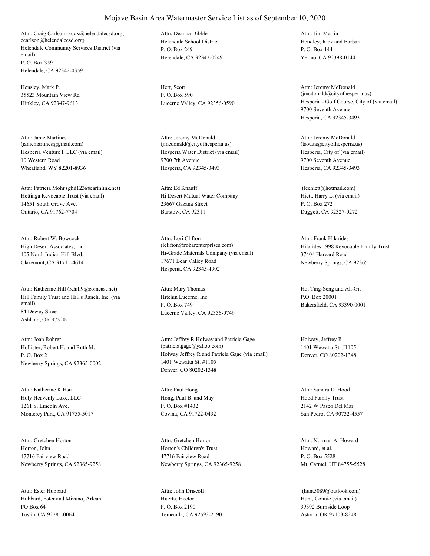Helendale Community Services District (via email) P. O. Box 359 Helendale, CA 92342-0359 Attn: Craig Carlson (kcox@helendalecsd.org; ccarlson@helendalecsd.org) Helendale School District

Hensley, Mark P. 35523 Mountain View Rd Hinkley, CA 92347-9613

Hesperia Venture I, LLC (via email) 10 Western Road Wheatland, WY 82201-8936 Attn: Janie Martines (janiemartines@gmail.com)

Hettinga Revocable Trust (via email) 14651 South Grove Ave. Ontario, CA 91762-7704 Attn: Patricia Mohr (ghd123@earthlink.net)

High Desert Associates, Inc. 405 North Indian Hill Blvd. Claremont, CA 91711-4614 Attn: Robert W. Bowcock

Hill Family Trust and Hill's Ranch, Inc. (via email) 84 Dewey Street Ashland, OR 97520- Attn: Katherine Hill (Khill9@comcast.net)

Hollister, Robert H. and Ruth M. P. O. Box 2 Newberry Springs, CA 92365-0002 Attn: Joan Rohrer

Holy Heavenly Lake, LLC 1261 S. Lincoln Ave. Monterey Park, CA 91755-5017 Attn: Katherine K Hsu

Horton, John 47716 Fairview Road Newberry Springs, CA 92365-9258 Attn: Gretchen Horton

Hubbard, Ester and Mizuno, Arlean PO Box 64 Tustin, CA 92781-0064 Attn: Ester Hubbard

P. O. Box 249 Helendale, CA 92342-0249 Attn: Deanna Dibble

Hert, Scott P. O. Box 590

Hesperia Water District (via email) 9700 7th Avenue Hesperia, CA 92345-3493 Attn: Jeremy McDonald (jmcdonald@cityofhesperia.us)

Hi Desert Mutual Water Company 23667 Gazana Street Barstow, CA 92311 Attn: Ed Knauff

Hi-Grade Materials Company (via email) 17671 Bear Valley Road Hesperia, CA 92345-4902 Attn: Lori Clifton (lclifton@robarenterprises.com) Hilarides 1998 Revocable Family Trust

Hitchin Lucerne, Inc. P. O. Box 749 Lucerne Valley, CA 92356-0749

Holway Jeffrey R and Patricia Gage (via email) 1401 Wewatta St. #1105 Denver, CO 80202-1348 Attn: Jeffrey R Holway and Patricia Gage (patricia.gage@yahoo.com)

Hong, Paul B. and May P. O. Box #1432 Covina, CA 91722-0432 Attn: Paul Hong

Horton's Children's Trust 47716 Fairview Road Newberry Springs, CA 92365-9258 Attn: Gretchen Horton

Huerta, Hector P. O. Box 2190 Temecula, CA 92593-2190 Attn: John Driscoll

Hendley, Rick and Barbara P. O. Box 144 Yermo, CA 92398-0144 Attn: Jim Martin

Lucerne Valley, CA 92356-0590 Hesperia - Golf Course, City of (via email) 9700 Seventh Avenue Hesperia, CA 92345-3493 Attn: Jeremy McDonald (jmcdonald@cityofhesperia.us)

> Hesperia, City of (via email) 9700 Seventh Avenue Hesperia, CA 92345-3493 Attn: Jeremy McDonald (tsouza@cityofhesperia.us)

Hiett, Harry L. (via email) P. O. Box 272 Daggett, CA 92327-0272 (leehiett@hotmail.com)

37404 Harvard Road Newberry Springs, CA 92365 Attn: Frank Hilarides

Attn: Mary Thomas Ho, Ting-Seng and Ah-Git P.O. Box 20001 Bakersfield, CA 93390-0001

> Holway, Jeffrey R 1401 Wewatta St. #1105 Denver, CO 80202-1348

Hood Family Trust 2142 W Paseo Del Mar San Pedro, CA 90732-4557 Attn: Sandra D. Hood

Howard, et al. P. O. Box 5528 Mt. Carmel, UT 84755-5528 Attn: Norman A. Howard

Hunt, Connie (via email) 39392 Burnside Loop Astoria, OR 97103-8248 (hunt5089@outlook.com)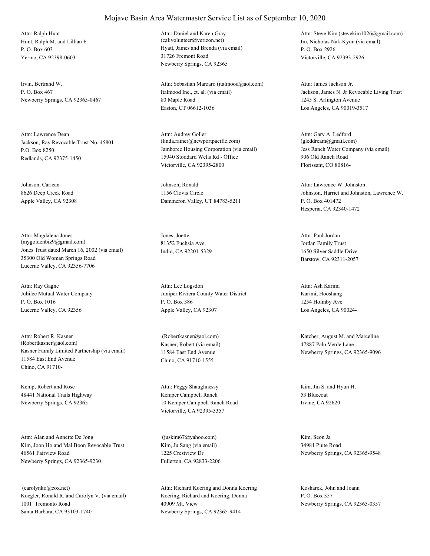Hunt, Ralph M. and Lillian F. P. O. Box 603 Yermo, CA 92398-0603 Attn: Ralph Hunt

Irvin, Bertrand W. P. O. Box 467 Newberry Springs, CA 92365-0467

Jackson, Ray Revocable Trust No. 45801 P.O. Box 8250 Redlands, CA 92375-1450 Attn: Lawrence Dean

Johnson, Carlean 8626 Deep Creek Road Apple Valley, CA 92308

Jones Trust dated March 16, 2002 (via email) 35300 Old Woman Springs Road Lucerne Valley, CA 92356-7706 Attn: Magdalena Jones (mygoldenbiz9@gmail.com)

Jubilee Mutual Water Company P. O. Box 1016 Lucerne Valley, CA 92356 Attn: Ray Gagne

Kasner Family Limited Partnership (via email) 11584 East End Avenue Chino, CA 91710- Attn: Robert R. Kasner (Robertkasner@aol.com) Kasner, Robert (via email)

Kemp, Robert and Rose 48441 National Trails Highway Newberry Springs, CA 92365

Kim, Joon Ho and Mal Boon Revocable Trust 46561 Fairview Road Newberry Springs, CA 92365-9230 Attn: Alan and Annette De Jong

Koegler, Ronald R. and Carolyn V. (via email) 1001 Tremonto Road Santa Barbara, CA 93103-1740 (carolynko@cox.net)

#### Mojave Basin Area Watermaster Service List as of September 10, 2020

Hyatt, James and Brenda (via email) 31726 Fremont Road Newberry Springs, CA 92365 Attn: Daniel and Karen Gray (calivolunteer@verizon.net) Im, Nicholas Nak-Kyun (via email)

Italmood Inc., et. al. (via email) 80 Maple Road Easton, CT 06612-1036 Attn: Sebastian Marzaro (italmood@aol.com)

Jamboree Housing Corporation (via email) 15940 Stoddard Wells Rd - Office Victorville, CA 92395-2800 Attn: Audrey Goller (linda.rainer@newportpacific.com)

Johnson, Ronald 1156 Clovis Circle Dammeron Valley, UT 84783-5211

Jones, Joette 81352 Fuchsia Ave. Indio, CA 92201-5329

Juniper Riviera County Water District P. O. Box 386 Apple Valley, CA 92307 Attn: Lee Logsdon

11584 East End Avenue Chino, CA 91710-1555

Kemper Campbell Ranch 10 Kemper Campbell Ranch Road Victorville, CA 92395-3357 Attn: Peggy Shaughnessy Kim, Jin S. and Hyun H.

Kim, Ju Sang (via email) 1225 Crestview Dr Fullerton, CA 92833-2206 (juskim67@yahoo.com) Kim, Seon Ja

Koering, Richard and Koering, Donna 40909 Mt. View Newberry Springs, CA 92365-9414 Attn: Richard Koering and Donna Koering Kosharek, John and Joann

P. O. Box 2926 Victorville, CA 92393-2926 Attn: Steve Kim (stevekim1026@gmail.com)

Jackson, James N. Jr Revocable Living Trust 1245 S. Arlington Avenue Los Angeles, CA 90019-3517 Attn: James Jackson Jr.

Jess Ranch Water Company (via email) 906 Old Ranch Road Florissant, CO 80816- Attn: Gary A. Ledford (gleddream@gmail.com)

Johnston, Harriet and Johnston, Lawrence W. P. O. Box 401472 Hesperia, CA 92340-1472 Attn: Lawrence W. Johnston

Jordan Family Trust 1650 Silver Saddle Drive Barstow, CA 92311-2057 Attn: Paul Jordan

Karimi, Hooshang 1254 Holmby Ave Los Angeles, CA 90024- Attn: Ash Karimi

 (Robertkasner@aol.com) Katcher, August M. and Marceline 47887 Palo Verde Lane Newberry Springs, CA 92365-9096

> 53 Bluecoat Irvine, CA 92620

34981 Piute Road Newberry Springs, CA 92365-9548

P. O. Box 357 Newberry Springs, CA 92365-0357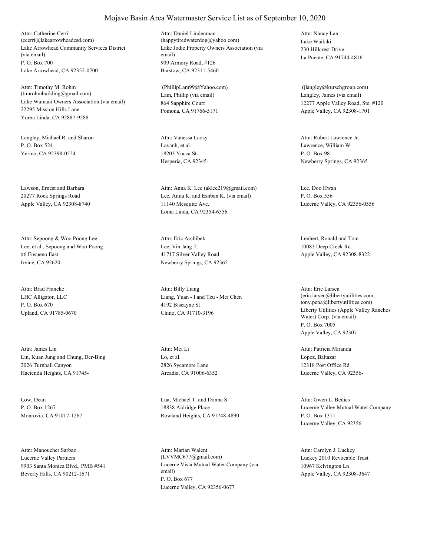Lake Arrowhead Community Services District (via email) P. O. Box 700 Lake Arrowhead, CA 92352-0700 Attn: Catherine Cerri (ccerri@lakearrowheadcsd.com)

Lake Wainani Owners Association (via email) 22295 Mission Hills Lane Yorba Linda, CA 92887-9288 Attn: Timothy M. Rohm (timrohmbuilding@gmail.com) Lam, Phillip (via email)

Langley, Michael R. and Sharon P. O. Box 524 Yermo, CA 92398-0524

Lawson, Ernest and Barbara 20277 Rock Springs Road Apple Valley, CA 92308-8740

Lee, et al., Sepoong and Woo Poong #6 Ensueno East Irvine, CA 92620- Attn: Sepoong & Woo Poong Lee

LHC Alligator, LLC P. O. Box 670 Upland, CA 91785-0670 Attn: Brad Francke

Lin, Kuan Jung and Chung, Der-Bing 2026 Turnball Canyon Hacienda Heights, CA 91745- Attn: James Lin

Low, Dean P. O. Box 1267 Monrovia, CA 91017-1267

Lucerne Valley Partners 9903 Santa Monica Blvd., PMB #541 Beverly Hills, CA 90212-1671 Attn: Manoucher Sarbaz

Lake Jodie Property Owners Association (via email) 909 Armory Road, #126 Barstow, CA 92311-5460 Attn: Daniel Lindenman (happytiredwaterdog@yahoo.com) Lake Waikiki

864 Sapphire Court Pomona, CA 91766-5171 (PhillipLam99@Yahoo.com)

Lavanh, et al. 18203 Yucca St. Hesperia, CA 92345- Attn: Vanessa Laosy

Lee, Anna K. and Eshban K. (via email) 11140 Mesquite Ave. Loma Linda, CA 92354-6556 Attn: Anna K. Lee (aklee219@gmail.com) Lee, Doo Hwan

Lee, Vin Jang T. 41717 Silver Valley Road Newberry Springs, CA 92365 Attn: Eric Archibek Lenhert, Ronald and Toni

Liang, Yuan - I and Tzu - Mei Chen 4192 Biscayne St Chino, CA 91710-3196 Attn: Billy Liang

Lo, et al. 2826 Sycamore Lane Arcadia, CA 91006-6352 Attn: Mei Li

Lua, Michael T. and Donna S. 18838 Aldridge Place Rowland Heights, CA 91748-4890

Lucerne Vista Mutual Water Company (via email) P. O. Box 677 Lucerne Valley, CA 92356-0677 Attn: Marian Walent (LVVMC677@gmail.com) Luckey 2010 Revocable Trust

230 Hillcrest Drive La Puente, CA 91744-4816 Attn: Nancy Lan

Langley, James (via email) 12277 Apple Valley Road, Ste. #120 Apple Valley, CA 92308-1701 (jlangley@kurschgroup.com)

Lawrence, William W. P. O. Box 98 Newberry Springs, CA 92365 Attn: Robert Lawrence Jr.

P. O. Box 556 Lucerne Valley, CA 92356-0556

10083 Deep Creek Rd. Apple Valley, CA 92308-8322

Liberty Utilities (Apple Valley Ranchos Water) Corp. (via email) P. O. Box 7005 Apple Valley, CA 92307 Attn: Eric Larsen (eric.larsen@libertyutilities.com; tony.pena@libertyutilities.com)

Lopez, Baltazar 12318 Post Office Rd Lucerne Valley, CA 92356- Attn: Patricia Miranda

Lucerne Valley Mutual Water Company P. O. Box 1311 Lucerne Valley, CA 92356 Attn: Gwen L. Bedics

10967 Kelvington Ln Apple Valley, CA 92308-3647 Attn: Carolyn J. Luckey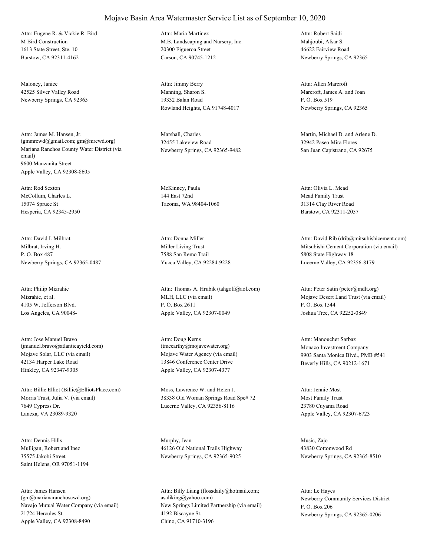M Bird Construction 1613 State Street, Ste. 10 Barstow, CA 92311-4162 Attn: Eugene R. & Vickie R. Bird

Maloney, Janice 42525 Silver Valley Road Newberry Springs, CA 92365

Mariana Ranchos County Water District (via email) 9600 Manzanita Street Apple Valley, CA 92308-8605 Attn: James M. Hansen, Jr. (gmmrcwd@gmail.com; gm@mrcwd.org)

McCollum, Charles L. 15074 Spruce St Hesperia, CA 92345-2950 Attn: Rod Sexton McKinney, Paula

Milbrat, Irving H. P. O. Box 487 Newberry Springs, CA 92365-0487 Attn: David I. Milbrat

Mizrahie, et al. 4105 W. Jefferson Blvd. Los Angeles, CA 90048- Attn: Philip Mizrahie

Mojave Solar, LLC (via email) 42134 Harper Lake Road Hinkley, CA 92347-9305 Attn: Jose Manuel Bravo (jmanuel.bravo@atlanticayield.com)

Morris Trust, Julia V. (via email) 7649 Cypress Dr. Lanexa, VA 23089-9320 Attn: Billie Elliot (Billie@ElliotsPlace.com) Moss, Lawrence W. and Helen J.

Mulligan, Robert and Inez 35575 Jakobi Street Saint Helens, OR 97051-1194 Attn: Dennis Hills Murphy, Jean

Navajo Mutual Water Company (via email) 21724 Hercules St. Apple Valley, CA 92308-8490 Attn: James Hansen (gm@marianaranchoscwd.org)

# Attn: Maria Martinez

Mojave Basin Area Watermaster Service List as of September 10, 2020

M.B. Landscaping and Nursery, Inc. 20300 Figueroa Street Carson, CA 90745-1212

Manning, Sharon S. 19332 Balan Road Rowland Heights, CA 91748-4017 Attn: Jimmy Berry

Marshall, Charles 32455 Lakeview Road Newberry Springs, CA 92365-9482

144 East 72nd Tacoma, WA 98404-1060

Miller Living Trust 7588 San Remo Trail Yucca Valley, CA 92284-9228 Attn: Donna Miller

MLH, LLC (via email) P. O. Box 2611 Apple Valley, CA 92307-0049 Attn: Thomas A. Hrubik (tahgolf@aol.com)

Mojave Water Agency (via email) 13846 Conference Center Drive Apple Valley, CA 92307-4377 Attn: Doug Kerns (tmccarthy@mojavewater.org) Monaco Investment Company

38338 Old Woman Springs Road Spc# 72 Lucerne Valley, CA 92356-8116

46126 Old National Trails Highway Newberry Springs, CA 92365-9025

New Springs Limited Partnership (via email) 4192 Biscayne St. Chino, CA 91710-3196 Attn: Billy Liang (flossdaily@hotmail.com; asaliking@yahoo.com) Newberry Community Services District

Mahjoubi, Afsar S. 46622 Fairview Road Newberry Springs, CA 92365 Attn: Robert Saidi

Marcroft, James A. and Joan P. O. Box 519 Newberry Springs, CA 92365 Attn: Allen Marcroft

Martin, Michael D. and Arlene D. 32942 Paseo Mira Flores San Juan Capistrano, CA 92675

Mead Family Trust 31314 Clay River Road Barstow, CA 92311-2057 Attn: Olivia L. Mead

Mitsubishi Cement Corporation (via email) 5808 State Highway 18 Lucerne Valley, CA 92356-8179 Attn: David Rib (drib@mitsubishicement.com)

Mojave Desert Land Trust (via email) P. O. Box 1544 Joshua Tree, CA 92252-0849 Attn: Peter Satin (peter@mdlt.org)

9903 Santa Monica Blvd., PMB #541 Beverly Hills, CA 90212-1671 Attn: Manoucher Sarbaz

Most Family Trust 23780 Cuyama Road Apple Valley, CA 92307-6723 Attn: Jennie Most

Music, Zajo 43830 Cottonwood Rd Newberry Springs, CA 92365-8510

P. O. Box 206 Newberry Springs, CA 92365-0206 Attn: Le Hayes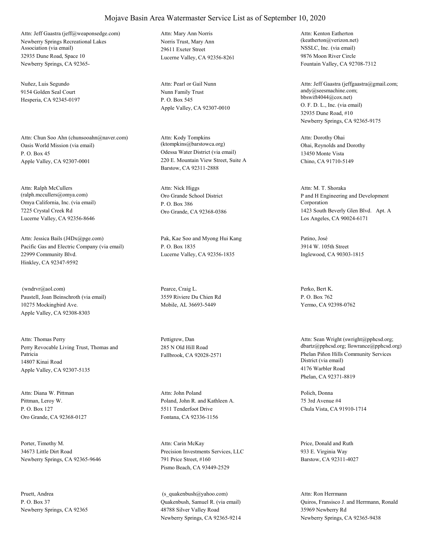Newberry Springs Recreational Lakes Association (via email) 32935 Dune Road, Space 10 Newberry Springs, CA 92365- Attn: Jeff Gaastra (jeff@weaponsedge.com)

Nuñez, Luis Segundo 9154 Golden Seal Court Hesperia, CA 92345-0197

Oasis World Mission (via email) P. O. Box 45 Apple Valley, CA 92307-0001 Attn: Chun Soo Ahn (chunsooahn@naver.com)

Omya California, Inc. (via email) 7225 Crystal Creek Rd Lucerne Valley, CA 92356-8646 Attn: Ralph McCullers (ralph.mccullers@omya.com) Oro Grande School District

Pacific Gas and Electric Company (via email) 22999 Community Blvd. Hinkley, CA 92347-9592 Attn: Jessica Bails (J4Dx@pge.com) Pak, Kae Soo and Myong Hui Kang

Paustell, Joan Beinschroth (via email) 10275 Mockingbird Ave. Apple Valley, CA 92308-8303 (wndrvr@aol.com) Pearce, Craig L.

Perry Revocable Living Trust, Thomas and Patricia 14807 Kinai Road Apple Valley, CA 92307-5135 Attn: Thomas Perry Pettigrew, Dan

Pittman, Leroy W. P. O. Box 127 Oro Grande, CA 92368-0127 Attn: Diana W. Pittman

Porter, Timothy M. 34673 Little Dirt Road Newberry Springs, CA 92365-9646

Pruett, Andrea P. O. Box 37 Newberry Springs, CA 92365 Norris Trust, Mary Ann 29611 Exeter Street Lucerne Valley, CA 92356-8261 Attn: Mary Ann Norris

Nunn Family Trust P. O. Box 545 Apple Valley, CA 92307-0010 Attn: Pearl or Gail Nunn

Odessa Water District (via email) 220 E. Mountain View Street, Suite A Barstow, CA 92311-2888 Attn: Kody Tompkins (ktompkins@barstowca.org) Ohai, Reynolds and Dorothy

P. O. Box 386 Oro Grande, CA 92368-0386 Attn: Nick Higgs

P. O. Box 1835 Lucerne Valley, CA 92356-1835

3559 Riviere Du Chien Rd Mobile, AL 36693-5449

285 N Old Hill Road

Poland, John R. and Kathleen A. 5511 Tenderfoot Drive Fontana, CA 92336-1156 Attn: John Poland Polich, Donna

Precision Investments Services, LLC 791 Price Street, #160 Pismo Beach, CA 93449-2529 Attn: Carin McKay Price, Donald and Ruth

Quakenbush, Samuel R. (via email) 48788 Silver Valley Road Newberry Springs, CA 92365-9214 (s\_quakenbush@yahoo.com)

NSSLC, Inc. (via email) 9876 Moon River Circle Fountain Valley, CA 92708-7312 Attn: Kenton Eatherton (keatherton@verizon.net)

O. F. D. L., Inc. (via email) 32935 Dune Road, #10 Newberry Springs, CA 92365-9175 Attn: Jeff Gaastra (jeffgaastra@gmail.com; andy@seesmachine.com; bbswift4044@cox.net)

13450 Monte Vista Chino, CA 91710-5149 Attn: Dorothy Ohai

P and H Engineering and Development Corporation 1423 South Beverly Glen Blvd. Apt. A Los Angeles, CA 90024-6171 Attn: M. T. Shoraka

Patino, José 3914 W. 105th Street Inglewood, CA 90303-1815

Perko, Bert K. P. O. Box 762 Yermo, CA 92398-0762

Fallbrook, CA 92028-2571 Phelan Piñon Hills Community Services District (via email) 4176 Warbler Road Phelan, CA 92371-8819 Attn: Sean Wright (swright@pphcsd.org; dbartz@pphcsd.org; llowrance@pphcsd.org)

> 75 3rd Avenue #4 Chula Vista, CA 91910-1714

933 E. Virginia Way Barstow, CA 92311-4027

Quiros, Fransisco J. and Herrmann, Ronald 35969 Newberry Rd Newberry Springs, CA 92365-9438 Attn: Ron Herrmann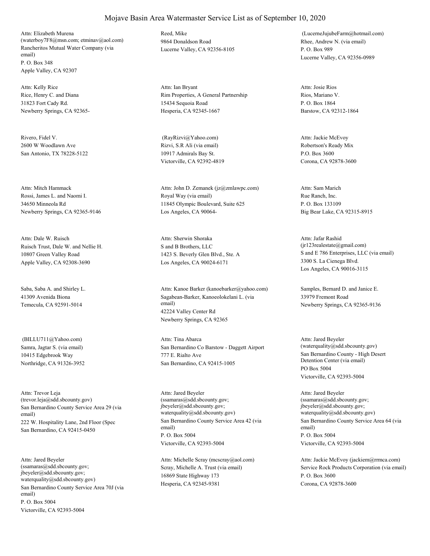Rancheritos Mutual Water Company (via email) P. O. Box 348 Apple Valley, CA 92307 Attn: Elizabeth Murena (waterboy7F8@msn.com; etminav@aol.com)

Rice, Henry C. and Diana 31823 Fort Cady Rd. Newberry Springs, CA 92365- Attn: Kelly Rice

Rivero, Fidel V. 2600 W Woodlawn Ave San Antonio, TX 78228-5122

Rossi, James L. and Naomi I. 34650 Minneola Rd Newberry Springs, CA 92365-9146 Attn: Mitch Hammack

Ruisch Trust, Dale W. and Nellie H. 10807 Green Valley Road Apple Valley, CA 92308-3690 Attn: Dale W. Ruisch

Saba, Saba A. and Shirley L. 41309 Avenida Biona Temecula, CA 92591-5014

Samra, Jagtar S. (via email) 10415 Edgebrook Way Northridge, CA 91326-3952 (BILLU711@Yahoo.com)

San Bernardino County Service Area 29 (via email) 222 W. Hospitality Lane, 2nd Floor (Spec San Bernardino, CA 92415-0450 Attn: Trevor Leja (trevor.leja@sdd.sbcounty.gov)

San Bernardino County Service Area 70J (via email) P. O. Box 5004 Victorville, CA 92393-5004 Attn: Jared Beyeler (ssamaras@sdd.sbcounty.gov; jbeyeler@sdd.sbcounty.gov; waterquality@sdd.sbcounty.gov)

Reed, Mike 9864 Donaldson Road Lucerne Valley, CA 92356-8105

Rim Properties, A General Partnership 15434 Sequoia Road Hesperia, CA 92345-1667 Attn: Ian Bryant

Rizvi, S.R Ali (via email) 10917 Admirals Bay St. Victorville, CA 92392-4819 (RayRizvi@Yahoo.com)

Royal Way (via email) 11845 Olympic Boulevard, Suite 625 Los Angeles, CA 90064- Attn: John D. Zemanek (jz@zmlawpc.com)

S and B Brothers, LLC 1423 S. Beverly Glen Blvd., Ste. A Los Angeles, CA 90024-6171 Attn: Sherwin Shoraka

Sagabean-Barker, Kanoeolokelani L. (via email) 42224 Valley Center Rd Newberry Springs, CA 92365 Attn: Kanoe Barker (kanoebarker@yahoo.com) Samples, Bernard D. and Janice E.

San Bernardino Co Barstow - Daggett Airport 777 E. Rialto Ave San Bernardino, CA 92415-1005 Attn: Tina Abarca

San Bernardino County Service Area 42 (via email) P. O. Box 5004 Victorville, CA 92393-5004 Attn: Jared Beyeler (ssamaras@sdd.sbcounty.gov; jbeyeler@sdd.sbcounty.gov; waterquality@sdd.sbcounty.gov)

Scray, Michelle A. Trust (via email) 16869 State Highway 173 Hesperia, CA 92345-9381 Attn: Michelle Scray (mcscray@aol.com)

Rhee, Andrew N. (via email) P. O. Box 989 Lucerne Valley, CA 92356-0989 (LucerneJujubeFarm@hotmail.com)

Rios, Mariano V. P. O. Box 1864 Barstow, CA 92312-1864 Attn: Josie Rios

Robertson's Ready Mix P.O. Box 3600 Corona, CA 92878-3600 Attn: Jackie McEvoy

Rue Ranch, Inc. P. O. Box 133109 Big Bear Lake, CA 92315-8915 Attn: Sam Marich

S and E 786 Enterprises, LLC (via email) 3300 S. La Cienega Blvd. Los Angeles, CA 90016-3115 Attn: Jafar Rashid (jr123realestate@gmail.com)

33979 Fremont Road Newberry Springs, CA 92365-9136

San Bernardino County - High Desert Detention Center (via email) PO Box 5004 Victorville, CA 92393-5004 Attn: Jared Beyeler (waterquality@sdd.sbcounty.gov)

San Bernardino County Service Area 64 (via email) P. O. Box 5004 Victorville, CA 92393-5004 Attn: Jared Beyeler (ssamaras@sdd.sbcounty.gov; jbeyeler@sdd.sbcounty.gov; waterquality@sdd.sbcounty.gov)

Service Rock Products Corporation (via email) P. O. Box 3600 Corona, CA 92878-3600 Attn: Jackie McEvoy (jackiem@rrmca.com)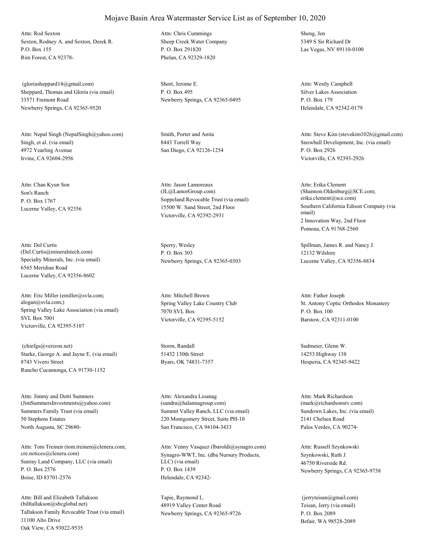Sexton, Rodney A. and Sexton, Derek R. P.O. Box 155 Rim Forest, CA 92378- Attn: Rod Sexton

Sheppard, Thomas and Gloria (via email) 33571 Fremont Road Newberry Springs, CA 92365-9520 (gloriasheppard14@gmail.com) Short, Jerome E.

Singh, et al. (via email) 4972 Yearling Avenue Irvine, CA 92604-2956 Attn: Nepal Singh (NepalSingh@yahoo.com) Smith, Porter and Anita

Son's Ranch P. O. Box 1767 Lucerne Valley, CA 92356 Attn: Chan Kyun Son

Specialty Minerals, Inc. (via email) 6565 Meridian Road Lucerne Valley, CA 92356-8602 Attn: Del Curtis (Del.Curtis@mineralstech.com)

Spring Valley Lake Association (via email) SVL Box 7001 Victorville, CA 92395-5107 Attn: Eric Miller (emiller@svla.com; alogan@svla.com;) Spring Valley Lake Country Club

Starke, George A. and Jayne E. (via email) 8743 Vivero Street Rancho Cucamonga, CA 91730-1152 (chiefgs@verizon.net) Storm, Randall

Summers Family Trust (via email) 50 Stephens Estates North Augusta, SC 29680- Attn: Jimmy and Dotti Summers (JimSummersInvestments@yahoo.com)

Sunray Land Company, LLC (via email) P. O. Box 2576 Boise, ID 83701-2576 Attn: Tom Treinen (tom.treinen@clenera.com; cre.notices@clenera.com) Synagro-WWT, Inc. (dba Nursury Products,

Tallakson Family Revocable Trust (via email) 11100 Alto Drive Oak View, CA 93022-9535 Attn: Bill and Elizabeth Tallakson (billtallakson@sbcglobal.net)

Sheep Creek Water Company P. O. Box 291820 Phelan, CA 92329-1820 Attn: Chris Cummings Sheng, Jen

P. O. Box 495 Newberry Springs, CA 92365-0495

8443 Torrell Way San Diego, CA 92126-1254

Soppeland Revocable Trust (via email) 15500 W. Sand Street, 2nd Floor Victorville, CA 92392-2931 Attn: Jason Lamoreaux (JL@LamorGroup.com)

Sperry, Wesley P. O. Box 303 Newberry Springs, CA 92365-0303

7070 SVL Box Victorville, CA 92395-5152 Attn: Mitchell Brown

51432 130th Street Byars, OK 74831-7357

Summit Valley Ranch, LLC (via email) 220 Montgomery Street, Suite PH-10 San Francisco, CA 94104-3433 Attn: Alexandra Lioanag (sandra@halannagroup.com)

LLC) (via email) P. O. Box 1439 Helendale, CA 92342- Attn: Venny Vasquez (lbaroldi@synagro.com)

Tapie, Raymond L. 48919 Valley Center Road Newberry Springs, CA 92365-9726 5349 S Sir Richard Dr Las Vegas, NV 89110-0100

Silver Lakes Association P. O. Box 179 Helendale, CA 92342-0179 Attn: Westly Campbell

Snowball Development, Inc. (via email) P. O. Box 2926 Victorville, CA 92393-2926 Attn: Steve Kim (stevekim1026@gmail.com)

Southern California Edison Company (via email) 2 Innovation Way, 2nd Floor Pomona, CA 91768-2560 Attn: Erika Clement (Shannon.Oldenburg@SCE.com; erika.clement@sce.com)

Spillman, James R. and Nancy J. 12132 Wilshire Lucerne Valley, CA 92356-8834

St. Antony Coptic Orthodox Monastery P. O. Box 100 Barstow, CA 92311-0100 Attn: Father Joseph

Sudmeier, Glenn W. 14253 Highway 138 Hesperia, CA 92345-9422

Sundown Lakes, Inc. (via email) 2141 Chelsea Road Palos Verdes, CA 90274- Attn: Mark Richardson (mark@richardsonsrv.com)

Szynkowski, Ruth J. 46750 Riverside Rd. Newberry Springs, CA 92365-9738 Attn: Russell Szynkowski

Teisan, Jerry (via email) P. O. Box 2089 Befair, WA 98528-2089 (jerryteisan@gmail.com)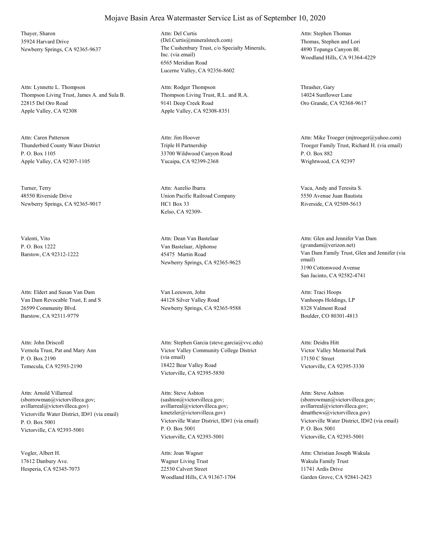Thayer, Sharon 35924 Harvard Drive

Thompson Living Trust, James A. and Sula B. 22815 Del Oro Road Apple Valley, CA 92308 Attn: Lynnette L. Thompson

Thunderbird County Water District P. O. Box 1105 Apple Valley, CA 92307-1105 Attn: Caren Patterson

Turner, Terry 48550 Riverside Drive Newberry Springs, CA 92365-9017

Valenti, Vito P. O. Box 1222 Barstow, CA 92312-1222

Van Dam Revocable Trust, E and S 26599 Community Blvd. Barstow, CA 92311-9779 Attn: Eldert and Susan Van Dam Van Leeuwen, John

Vernola Trust, Pat and Mary Ann P. O. Box 2190 Temecula, CA 92593-2190 Attn: John Driscoll

Victorville Water District, ID#1 (via email) P. O. Box 5001 Victorville, CA 92393-5001 Attn: Arnold Villarreal (sborrowman@victorvilleca.gov; avillarreal@victorvilleca.gov)

Vogler, Albert H. 17612 Danbury Ave. Hesperia, CA 92345-7073

Newberry Springs, CA 92365-9637 The Cushenbury Trust, c/o Specialty Minerals, Inc. (via email) 6565 Meridian Road Lucerne Valley, CA 92356-8602 Attn: Del Curtis (Del.Curtis@mineralstech.com) Thomas, Stephen and Lori

> Thompson Living Trust, R.L. and R.A. 9141 Deep Creek Road Apple Valley, CA 92308-8351 Attn: Rodger Thompson Thrasher, Gary

Triple H Partnership 33700 Wildwood Canyon Road Yucaipa, CA 92399-2368 Attn: Jim Hoover

Union Pacific Railroad Company HC1 Box 33 Kelso, CA 92309- Attn: Aurelio Ibarra **Vaca, Andy and Teresita S.** 

Van Bastelaar, Alphonse 45475 Martin Road Newberry Springs, CA 92365-9625 Attn: Dean Van Bastelaar

44128 Silver Valley Road Newberry Springs, CA 92365-9588

Victor Valley Community College District (via email) 18422 Bear Valley Road Victorville, CA 92395-5850 Attn: Stephen Garcia (steve.garcia@vvc.edu)

Victorville Water District, ID#1 (via email) P. O. Box 5001 Victorville, CA 92393-5001 Attn: Steve Ashton (sashton@victorvilleca.gov; avillarreal@victorvilleca.gov; kmetzler@victorvilleca.gov)

Wagner Living Trust 22530 Calvert Street Woodland Hills, CA 91367-1704 Attn: Joan Wagner

4890 Topanga Canyon Bl. Woodland Hills, CA 91364-4229 Attn: Stephen Thomas

14024 Sunflower Lane Oro Grande, CA 92368-9617

Troeger Family Trust, Richard H. (via email) P. O. Box 882 Wrightwood, CA 92397 Attn: Mike Troeger (mjtroeger@yahoo.com)

5550 Avenue Juan Bautista Riverside, CA 92509-5613

Van Dam Family Trust, Glen and Jennifer (via email) 3190 Cottonwood Avenue San Jacinto, CA 92582-4741 Attn: Glen and Jennifer Van Dam (gvandam@verizon.net)

Vanhoops Holdings, LP 8328 Valmont Road Boulder, CO 80301-4813 Attn: Traci Hoops

Victor Valley Memorial Park 17150 C Street Victorville, CA 92395-3330 Attn: Deidra Hitt

Victorville Water District, ID#2 (via email) P. O. Box 5001 Victorville, CA 92393-5001 Attn: Steve Ashton (sborrowman@victorvilleca.gov; avillarreal@victorvilleca.gov; dmatthews@victorvilleca.gov)

Wakula Family Trust 11741 Ardis Drive Garden Grove, CA 92841-2423 Attn: Christian Joseph Wakula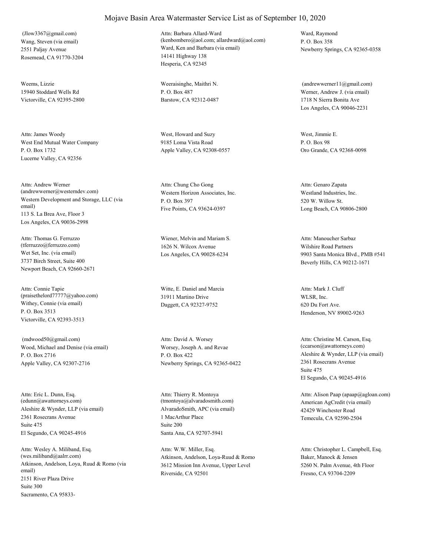Wang, Steven (via email) 2551 Paljay Avenue Rosemead, CA 91770-3204 (Jlow3367@gmail.com)

Weems, Lizzie 15940 Stoddard Wells Rd Victorville, CA 92395-2800

West End Mutual Water Company P. O. Box 1732 Lucerne Valley, CA 92356 Attn: James Woody West, Howard and Suzy

Western Development and Storage, LLC (via email) 113 S. La Brea Ave, Floor 3 Los Angeles, CA 90036-2998 Attn: Andrew Werner (andrewwerner@westerndev.com) Western Horizon Associates, Inc.

Wet Set, Inc. (via email) 3737 Birch Street, Suite 400 Newport Beach, CA 92660-2671 Attn: Thomas G. Ferruzzo (tferruzzo@ferruzzo.com)

Withey, Connie (via email) P. O. Box 3513 Victorville, CA 92393-3513 Attn: Connie Tapie (praisethelord77777@yahoo.com)

Wood, Michael and Denise (via email) P. O. Box 2716 Apple Valley, CA 92307-2716 (mdwood50@gmail.com)

Aleshire & Wynder, LLP (via email) 2361 Rosecrans Avenue El Segundo, CA 90245-4916 Attn: Eric L. Dunn, Esq.  $(\verb"edunn@awattorneys.com)$ Suite 475

Atkinson, Andelson, Loya, Ruud & Romo (via email) 2151 River Plaza Drive Sacramento, CA 95833- Attn: Wesley A. Miliband, Esq. (wes.miliband@aalrr.com) Suite 300

# Mojave Basin Area Watermaster Service List as of September 10, 2020

Ward, Ken and Barbara (via email) 14141 Highway 138 Hesperia, CA 92345 Attn: Barbara Allard-Ward (kenbombero@aol.com; allardward@aol.com)

Weeraisinghe, Maithri N. P. O. Box 487 Barstow, CA 92312-0487

9185 Loma Vista Road Apple Valley, CA 92308-0557

P. O. Box 397 Five Points, CA 93624-0397 Attn: Chung Cho Gong

Wiener, Melvin and Mariam S. 1626 N. Wilcox Avenue Los Angeles, CA 90028-6234

Witte, E. Daniel and Marcia 31911 Martino Drive Daggett, CA 92327-9752

Worsey, Joseph A. and Revae P. O. Box 422 Newberry Springs, CA 92365-0422 Attn: David A. Worsey

AlvaradoSmith, APC (via email) 1 MacArthur Place Santa Ana, CA 92707-5941 Attn: Thierry R. Montoya (tmontoya@alvaradosmith.com) Suite 200

Atkinson, Andelson, Loya-Ruud & Romo 3612 Mission Inn Avenue, Upper Level Riverside, CA 92501 Attn: W.W. Miller, Esq.

Ward, Raymond P. O. Box 358 Newberry Springs, CA 92365-0358

Werner, Andrew J. (via email) 1718 N Sierra Bonita Ave Los Angeles, CA 90046-2231 (andrewwerner11@gmail.com)

West, Jimmie E. P. O. Box 98 Oro Grande, CA 92368-0098

Westland Industries, Inc. 520 W. Willow St. Long Beach, CA 90806-2800 Attn: Genaro Zapata

Wilshire Road Partners 9903 Santa Monica Blvd., PMB #541 Beverly Hills, CA 90212-1671 Attn: Manoucher Sarbaz

WLSR, Inc. 620 Du Fort Ave. Henderson, NV 89002-9263 Attn: Mark J. Cluff

Aleshire & Wynder, LLP (via email) 2361 Rosecrans Avenue El Segundo, CA 90245-4916 Attn: Christine M. Carson, Esq. (ccarson@awattorneys.com) Suite 475

American AgCredit (via email) 42429 Winchester Road Temecula, CA 92590-2504 Attn: Alison Paap (apaap@agloan.com)

Baker, Manock & Jensen 5260 N. Palm Avenue, 4th Floor Fresno, CA 93704-2209 Attn: Christopher L. Campbell, Esq.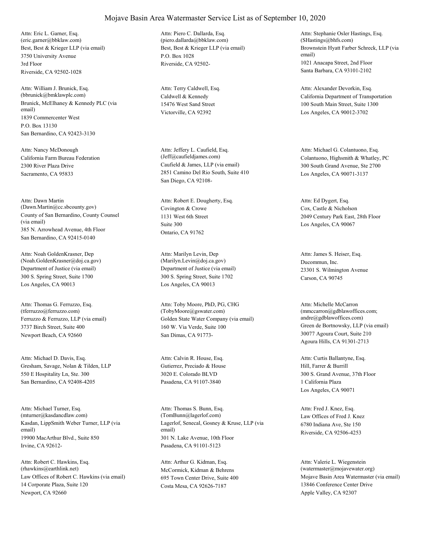Best, Best & Krieger LLP (via email) 3750 University Avenue Riverside, CA 92502-1028 Attn: Eric L. Garner, Esq. (eric.garner@bbklaw.com) 3rd Floor

Brunick, McElhaney & Kennedy PLC (via email) 1839 Commercenter West San Bernardino, CA 92423-3130 Attn: William J. Brunick, Esq. (bbrunick@bmklawplc.com) P.O. Box 13130

California Farm Bureau Federation 2300 River Plaza Drive Sacramento, CA 95833 Attn: Nancy McDonough

County of San Bernardino, County Counsel (via email) 385 N. Arrowhead Avenue, 4th Floor San Bernardino, CA 92415-0140 Attn: Dawn Martin (Dawn.Martin@cc.sbcounty.gov) Covington & Crowe

Department of Justice (via email) 300 S. Spring Street, Suite 1700 Los Angeles, CA 90013 Attn: Noah GoldenKrasner, Dep (Noah.GoldenKrasner@doj.ca.gov)

Ferruzzo & Ferruzzo, LLP (via email) 3737 Birch Street, Suite 400 Newport Beach, CA 92660 Attn: Thomas G. Ferruzzo, Esq. (tferruzzo@ferruzzo.com)

Gresham, Savage, Nolan & Tilden, LLP 550 E Hospitality Ln, Ste. 300 San Bernardino, CA 92408-4205 Attn: Michael D. Davis, Esq.

Kasdan, LippSmith Weber Turner, LLP (via email) 19900 MacArthur Blvd., Suite 850 Irvine, CA 92612- Attn: Michael Turner, Esq. (mturner@kasdancdlaw.com)

Law Offices of Robert C. Hawkins (via email) 14 Corporate Plaza, Suite 120 Newport, CA 92660 Attn: Robert C. Hawkins, Esq. (rhawkins@earthlink.net) McCormick, Kidman & Behrens

Best, Best & Krieger LLP (via email) P.O. Box 1028 Riverside, CA 92502- Attn: Piero C. Dallarda, Esq. (piero.dallarda@bbklaw.com)

Caldwell & Kennedy 15476 West Sand Street Victorville, CA 92392 Attn: Terry Caldwell, Esq.

Caufield & James, LLP (via email) 2851 Camino Del Rio South, Suite 410 San Diego, CA 92108- Attn: Jeffery L. Caufield, Esq.

1131 West 6th Street Ontario, CA 91762 Attn: Robert E. Dougherty, Esq. Suite 300

Department of Justice (via email) 300 S. Spring Street, Suite 1702 Los Angeles, CA 90013 Attn: Marilyn Levin, Dep (Marilyn.Levin@doj.ca.gov) Ducommun, Inc.

Golden State Water Company (via email) 160 W. Via Verde, Suite 100 San Dimas, CA 91773- Attn: Toby Moore, PhD, PG, CHG (TobyMoore@gswater.com)

Gutierrez, Preciado & House 3020 E. Colorado BLVD Pasadena, CA 91107-3840 Attn: Calvin R. House, Esq.

Lagerlof, Senecal, Gosney & Kruse, LLP (via email) 301 N. Lake Avenue, 10th Floor Pasadena, CA 91101-5123 Attn: Thomas S. Bunn, Esq. (TomBunn@lagerlof.com) Law Offices of Fred J. Knez

695 Town Center Drive, Suite 400 Costa Mesa, CA 92626-7187 Attn: Arthur G. Kidman, Esq.

Brownstein Hyatt Farber Schreck, LLP (via email) 1021 Anacapa Street, 2nd Floor Santa Barbara, CA 93101-2102 Attn: Stephanie Osler Hastings, Esq. (SHastings@bhfs.com)

California Department of Transportation 100 South Main Street, Suite 1300 Los Angeles, CA 90012-3702 Attn: Alexander Devorkin, Esq.

(Jeff@caufieldjames.com) Colantuono, Highsmith & Whatley, PC 300 South Grand Avenue, Ste 2700 Los Angeles, CA 90071-3137 Attn: Michael G. Colantuono, Esq.

> Cox, Castle & Nicholson 2049 Century Park East, 28th Floor Los Angeles, CA 90067 Attn: Ed Dygert, Esq.

23301 S. Wilmington Avenue Carson, CA 90745 Attn: James S. Heiser, Esq.

Green de Bortnowsky, LLP (via email) 30077 Agoura Court, Suite 210 Agoura Hills, CA 91301-2713 Attn: Michelle McCarron (mmccarron@gdblawoffices.com; andre@gdblawoffices.com)

Hill, Farrer & Burrill 300 S. Grand Avenue, 37th Floor Los Angeles, CA 90071 Attn: Curtis Ballantyne, Esq. 1 California Plaza

6780 Indiana Ave, Ste 150 Riverside, CA 92506-4253 Attn: Fred J. Knez, Esq.

Mojave Basin Area Watermaster (via email) 13846 Conference Center Drive Apple Valley, CA 92307 Attn: Valerie L. Wiegenstein (watermaster@mojavewater.org)